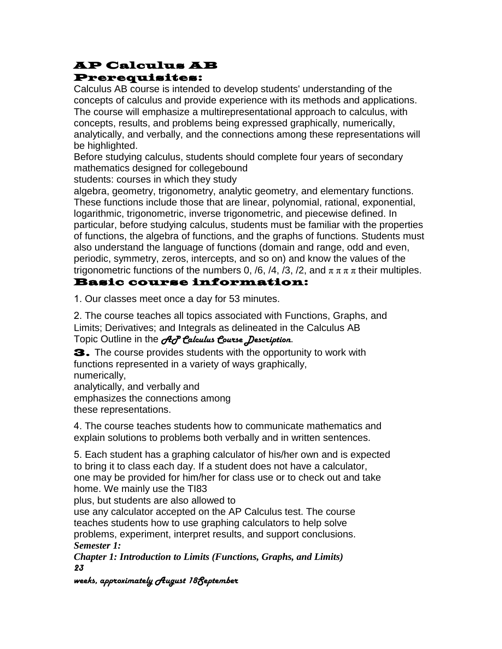## AP Calculus AB Prerequisites:

Calculus AB course is intended to develop students' understanding of the concepts of calculus and provide experience with its methods and applications. The course will emphasize a multirepresentational approach to calculus, with concepts, results, and problems being expressed graphically, numerically, analytically, and verbally, and the connections among these representations will be highlighted.

Before studying calculus, students should complete four years of secondary mathematics designed for collegebound

students: courses in which they study

algebra, geometry, trigonometry, analytic geometry, and elementary functions. These functions include those that are linear, polynomial, rational, exponential, logarithmic, trigonometric, inverse trigonometric, and piecewise defined. In particular, before studying calculus, students must be familiar with the properties of functions, the algebra of functions, and the graphs of functions. Students must also understand the language of functions (domain and range, odd and even, periodic, symmetry, zeros, intercepts, and so on) and know the values of the trigonometric functions of the numbers 0, /6, /4, /3, /2, and  $\pi \pi \pi$  their multiples.

### Basic course information:

1. Our classes meet once a day for 53 minutes.

2. The course teaches all topics associated with Functions, Graphs, and Limits; Derivatives; and Integrals as delineated in the Calculus AB Topic Outline in the *A<sub>C</sub>P* Calculus Course Description.

3. The course provides students with the opportunity to work with functions represented in a variety of ways graphically, numerically, analytically, and verbally and

emphasizes the connections among

these representations.

4. The course teaches students how to communicate mathematics and explain solutions to problems both verbally and in written sentences.

5. Each student has a graphing calculator of his/her own and is expected to bring it to class each day. If a student does not have a calculator, one may be provided for him/her for class use or to check out and take home. We mainly use the TI83

plus, but students are also allowed to

use any calculator accepted on the AP Calculus test. The course teaches students how to use graphing calculators to help solve problems, experiment, interpret results, and support conclusions. *Semester 1:*

*Chapter 1: Introduction to Limits (Functions, Graphs, and Limits)* 23

weeks, approximately August 18September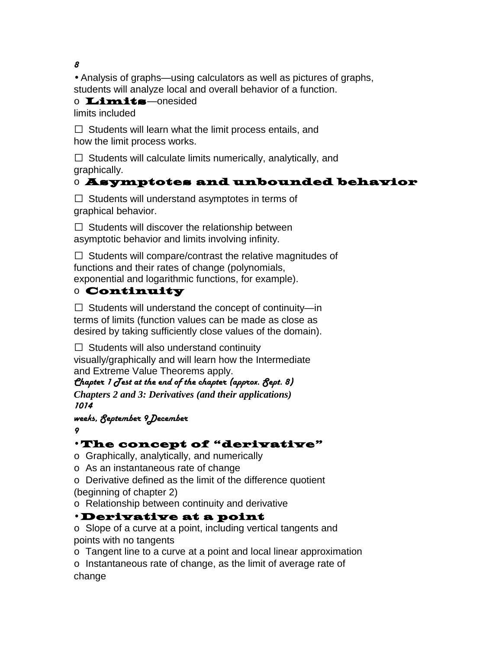8

• Analysis of graphs—using calculators as well as pictures of graphs, students will analyze local and overall behavior of a function.

o Limits—onesided limits included

 $\Box$  Students will learn what the limit process entails, and how the limit process works.

 $\Box$  Students will calculate limits numerically, analytically, and graphically.

## o Asymptotes and unbounded behavior

 $\Box$  Students will understand asymptotes in terms of graphical behavior.

 $\Box$  Students will discover the relationship between asymptotic behavior and limits involving infinity.

 $\Box$  Students will compare/contrast the relative magnitudes of functions and their rates of change (polynomials, exponential and logarithmic functions, for example).

### o Continuity

 $\Box$  Students will understand the concept of continuity—in terms of limits (function values can be made as close as desired by taking sufficiently close values of the domain).

 $\Box$  Students will also understand continuity

visually/graphically and will learn how the Intermediate and Extreme Value Theorems apply.

Chapter 1  $J$ est at the end of the chapter (approx.  $S$ ept. 8) *Chapters 2 and 3: Derivatives (and their applications)* 1014

weeks, September 9December

9

## • The concept of "derivative"

o Graphically, analytically, and numerically

o As an instantaneous rate of change

o Derivative defined as the limit of the difference quotient (beginning of chapter 2)

o Relationship between continuity and derivative

## • Derivative at a point

o Slope of a curve at a point, including vertical tangents and points with no tangents

o Tangent line to a curve at a point and local linear approximation

o Instantaneous rate of change, as the limit of average rate of change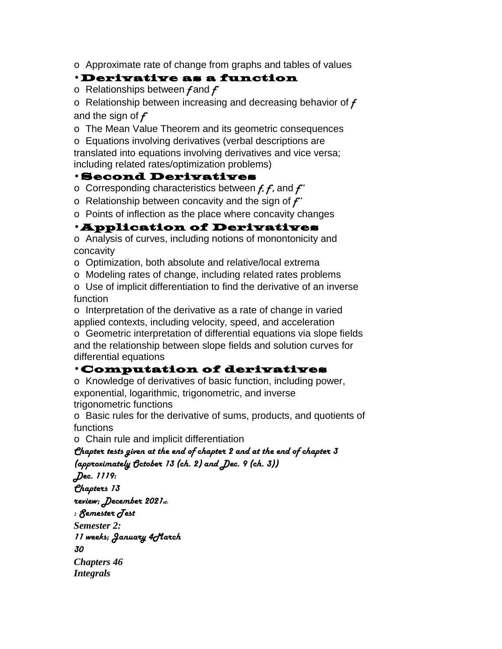o Approximate rate of change from graphs and tables of values

#### • Derivative as a function

o Relationships between  $f$  and  $f'$ 

o Relationship between increasing and decreasing behavior of  $f$ and the sign of  $f'$ 

o The Mean Value Theorem and its geometric consequences

o Equations involving derivatives (verbal descriptions are translated into equations involving derivatives and vice versa; including related rates/optimization problems)

#### • Second Derivatives

o Corresponding characteristics between  $f, f$ , and  $f'$ 

o Relationship between concavity and the sign of  $f'$ 

o Points of inflection as the place where concavity changes

### • Application of Derivatives

o Analysis of curves, including notions of monontonicity and concavity

o Optimization, both absolute and relative/local extrema

o Modeling rates of change, including related rates problems

o Use of implicit differentiation to find the derivative of an inverse function

o Interpretation of the derivative as a rate of change in varied applied contexts, including velocity, speed, and acceleration o Geometric interpretation of differential equations via slope fields and the relationship between slope fields and solution curves for differential equations

### • Computation of derivatives

o Knowledge of derivatives of basic function, including power, exponential, logarithmic, trigonometric, and inverse trigonometric functions

o Basic rules for the derivative of sums, products, and quotients of functions

o Chain rule and implicit differentiation

Chapter tests given at the end of chapter 2 and at the end of chapter 3 (approximately October 13 (ch. 2) and Dec. 9 (ch. 3))

Dec. 1119: Chapters 13

review; December 2021st:

 $: \mathcal{S}$ emester  $\bar{d}$ est

*Semester 2:*

11 weeks; January 4 March

30

*Chapters 46 Integrals*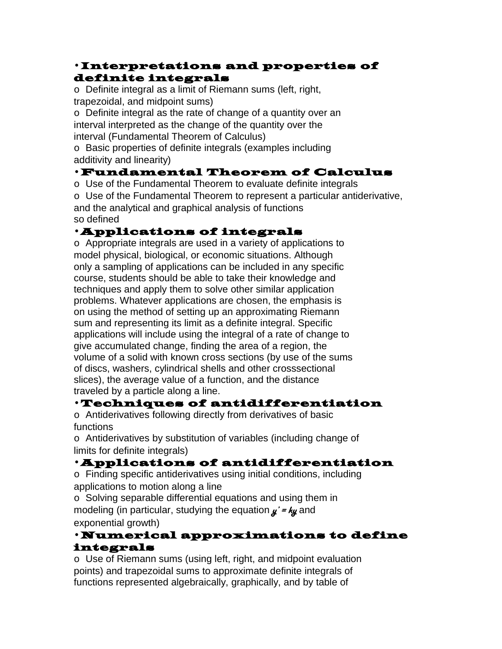### • Interpretations and properties of definite integrals

o Definite integral as a limit of Riemann sums (left, right, trapezoidal, and midpoint sums)

o Definite integral as the rate of change of a quantity over an interval interpreted as the change of the quantity over the interval (Fundamental Theorem of Calculus)

o Basic properties of definite integrals (examples including additivity and linearity)

# • Fundamental Theorem of Calculus

o Use of the Fundamental Theorem to evaluate definite integrals

o Use of the Fundamental Theorem to represent a particular antiderivative, and the analytical and graphical analysis of functions so defined

# • Applications of integrals

o Appropriate integrals are used in a variety of applications to model physical, biological, or economic situations. Although only a sampling of applications can be included in any specific course, students should be able to take their knowledge and techniques and apply them to solve other similar application problems. Whatever applications are chosen, the emphasis is on using the method of setting up an approximating Riemann sum and representing its limit as a definite integral. Specific applications will include using the integral of a rate of change to give accumulated change, finding the area of a region, the volume of a solid with known cross sections (by use of the sums of discs, washers, cylindrical shells and other crosssectional slices), the average value of a function, and the distance traveled by a particle along a line.

### • Techniques of antidifferentiation

o Antiderivatives following directly from derivatives of basic functions

o Antiderivatives by substitution of variables (including change of limits for definite integrals)

## • Applications of antidifferentiation

o Finding specific antiderivatives using initial conditions, including applications to motion along a line

o Solving separable differential equations and using them in modeling (in particular, studying the equation  $y' = ky$  and exponential growth)

### • Numerical approximations to define integrals

o Use of Riemann sums (using left, right, and midpoint evaluation points) and trapezoidal sums to approximate definite integrals of functions represented algebraically, graphically, and by table of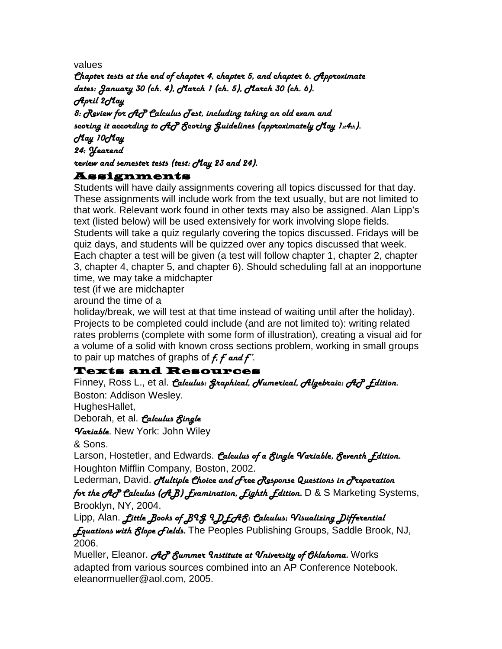values

Chapter tests at the end of chapter 4, chapter 5, and chapter 6. Approximate dates: January 30 (ch. 4), March 1 (ch. 5), March 30 (ch. 6). April 2May 8: Review for AP Calculus Jest, including taking an old exam and scoring it according to AP Scoring Guidelines (approximately May 1st4th).

May 10May

24: Yearend

review and semester tests (test: May 23 and 24).

#### Assignments

Students will have daily assignments covering all topics discussed for that day. These assignments will include work from the text usually, but are not limited to that work. Relevant work found in other texts may also be assigned. Alan Lipp's text (listed below) will be used extensively for work involving slope fields. Students will take a quiz regularly covering the topics discussed. Fridays will be quiz days, and students will be quizzed over any topics discussed that week. Each chapter a test will be given (a test will follow chapter 1, chapter 2, chapter 3, chapter 4, chapter 5, and chapter 6). Should scheduling fall at an inopportune time, we may take a midchapter

test (if we are midchapter

around the time of a

holiday/break, we will test at that time instead of waiting until after the holiday). Projects to be completed could include (and are not limited to): writing related rates problems (complete with some form of illustration), creating a visual aid for a volume of a solid with known cross sections problem, working in small groups to pair up matches of graphs of  $f$ ,  $f$  and  $f'$ .

### Texts and Resources

Finney, Ross L., et al. Calculus: Graphical, *Numerical, Algebraic: AcP Edition.* Boston: Addison Wesley.

HughesHallet,

Deborah, et al. *Calculus fingle* 

Variable. New York: John Wiley

& Sons.

Larson, Hostetler, and Edwards. Calculus of a fingle Variable, feventh fdition. Houghton Mifflin Company, Boston, 2002.

Lederman, David. *Multiple Choice and Gree Response Questions in Greparation* for the  $\mathcal{A}\mathcal{C}$  Calculus ( $\mathcal{A}$ B) Examination, Eighth Edition. D & S Marketing Systems, Brooklyn, NY, 2004.

Lipp, Alan. *Little Books of B*9g 9 D LA8: Calculus; Visualizing Differential

*fquations with flope fields.* The Peoples Publishing Groups, Saddle Brook, NJ, 2006.

Mueller, Eleanor. A & Summer Institute at *Vniversity of Chlahoma*. Works adapted from various sources combined into an AP Conference Notebook. eleanormueller@aol.com, 2005.